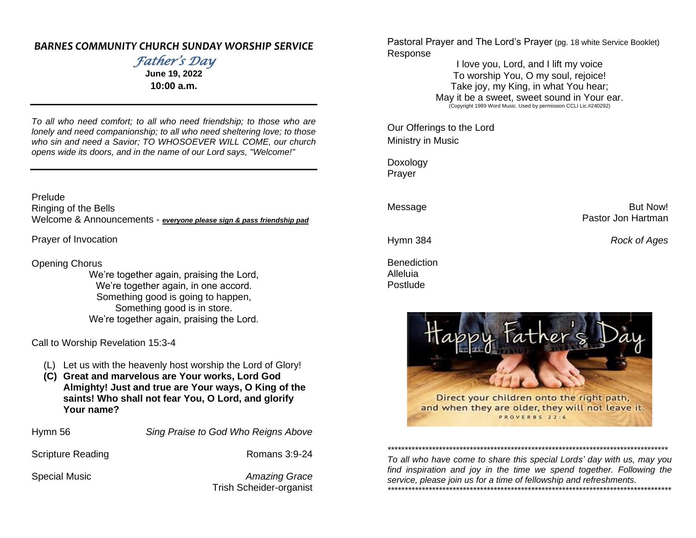#### *BARNES COMMUNITY CHURCH SUNDAY WORSHIP SERVICE*

*Father's Day*  **June 19, 2022**

**10:00 a.m.**

*To all who need comfort; to all who need friendship; to those who are lonely and need companionship; to all who need sheltering love; to those who sin and need a Savior; TO WHOSOEVER WILL COME, our church opens wide its doors, and in the name of our Lord says, "Welcome!"*

Prelude Ringing of the Bells Welcome & Announcements - *everyone please sign & pass friendship pad*

Prayer of Invocation

Opening Chorus

We're together again, praising the Lord, We're together again, in one accord. Something good is going to happen, Something good is in store. We're together again, praising the Lord.

Call to Worship Revelation 15:3-4

- (L) Let us with the heavenly host worship the Lord of Glory!
- **(C) Great and marvelous are Your works, Lord God Almighty! Just and true are Your ways, O King of the saints! Who shall not fear You, O Lord, and glorify Your name?**

Hymn 56 *Sing Praise to God Who Reigns Above*

Scripture Reading **Romans 3:9-24** 

Special Music *Amazing Grace* Trish Scheider-organist Pastoral Prayer and The Lord's Prayer (pg. 18 white Service Booklet) Response

> I love you, Lord, and I lift my voice To worship You, O my soul, rejoice! Take joy, my King, in what You hear; May it be a sweet, sweet sound in Your ear. (Copyright 1989 Word Music. Used by permission CCLI Lic.#240292)

Our Offerings to the Lord Ministry in Music

Doxology Prayer

Message **But Now!** Pastor Jon Hartman

Hymn 384 *Rock of Ages*

**Benediction** Alleluia Postlude



*\*\*\*\*\*\*\*\*\*\*\*\*\*\*\*\*\*\*\*\*\*\*\*\*\*\*\*\*\*\*\*\*\*\*\*\*\*\*\*\*\*\*\*\*\*\*\*\*\*\*\*\*\*\*\*\*\*\*\*\*\*\*\*\*\*\*\*\*\*\*\*\*\*\*\*\*\*\*\*\*\*\**

*To all who have come to share this special Lords' day with us, may you find inspiration and joy in the time we spend together. Following the service, please join us for a time of fellowship and refreshments. \*\*\*\*\*\*\*\*\*\*\*\*\*\*\*\*\*\*\*\*\*\*\*\*\*\*\*\*\*\*\*\*\*\*\*\*\*\*\*\*\*\*\*\*\*\*\*\*\*\*\*\*\*\*\*\*\*\*\*\*\*\*\*\*\*\*\*\*\*\*\*\*\*\*\*\*\*\*\*\*\*\*\**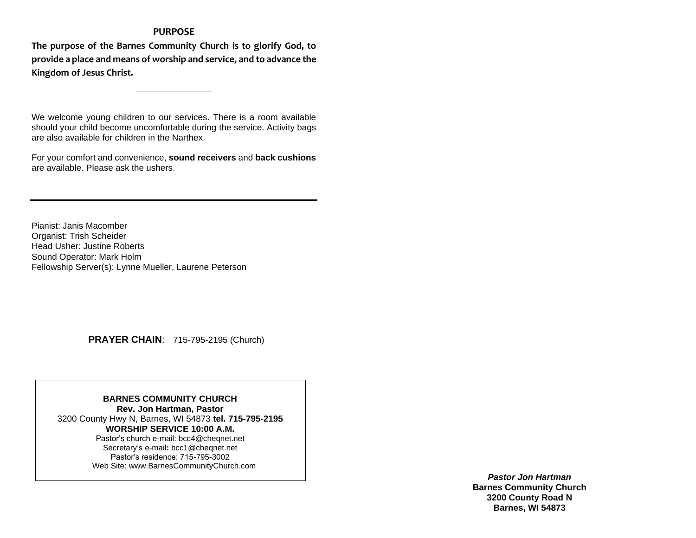#### **PURPOSE**

**The purpose of the Barnes Community Church is to glorify God, to provide a place and means of worship and service, and to advance the Kingdom of Jesus Christ.**

**\_\_\_\_\_\_\_\_\_\_\_\_\_**

We welcome young children to our services. There is a room available should your child become uncomfortable during the service. Activity bags are also available for children in the Narthex.

For your comfort and convenience, **sound receivers** and **back cushions** are available. Please ask the ushers.

Pianist: Janis Macomber Organist: Trish Scheider Head Usher: Justine Roberts Sound Operator: Mark Holm Fellowship Server(s): Lynne Mueller, Laurene Peterson

 **PRAYER CHAIN**: 715-795-2195 (Church)

**BARNES COMMUNITY CHURCH Rev. Jon Hartman, Pastor** 3200 County Hwy N, Barnes, WI 54873 **tel. 715-795-2195 WORSHIP SERVICE 10:00 A.M.** Pastor's church e-mail: bcc4@cheqnet.net Secretary's e-mail**:** [bcc1@cheqnet.net](mailto:bcc1@cheqnet.net) Pastor's residence: 715-795-3002 Web Site[: www.BarnesCommunityChurch.](http://www.barnescommunitychurch/)com

> *Pastor Jon Hartman* **Barnes Community Church 3200 County Road N Barnes, WI 54873**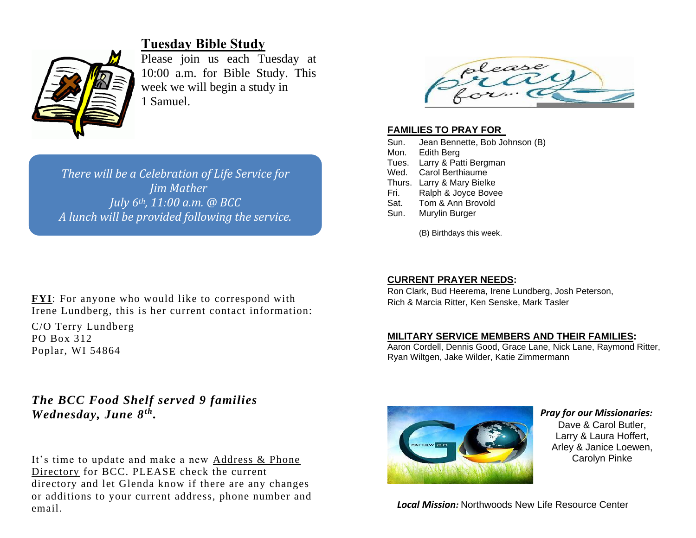

## **Tuesday Bible Study**

Please join us each Tuesday at 10:00 a.m. for Bible Study. This week we will begin a study in 1 Samuel.

*There will be a Celebration of Life Service for Jim Mather July 6th, 11:00 a.m. @ BCC A lunch will be provided following the service.*



C/O Terry Lundberg PO Box 312 Poplar, WI 54864

## *The BCC Food Shelf served 9 families Wednesday, June 8th .*

It's time to update and make a new Address & Phone Directory for BCC. PLEASE check the current directory and let Glenda know if there are any changes or additions to your current address, phone number and email.



#### **FAMILIES TO PRAY FOR**

| Sun.   | Jean Bennette, Bob Johnson (B) |  |
|--------|--------------------------------|--|
| Mon.   | Edith Berg                     |  |
|        | Tues. Larry & Patti Bergman    |  |
| Wed.   | Carol Berthiaume               |  |
| Thurs. | Larry & Mary Bielke            |  |
| Fri.   | Ralph & Joyce Bovee            |  |
| Sat.   | Tom & Ann Brovold              |  |
| Sun.   | Murylin Burger                 |  |
|        |                                |  |

(B) Birthdays this week.

#### **CURRENT PRAYER NEEDS:**

Ron Clark, Bud Heerema, Irene Lundberg, Josh Peterson, Rich & Marcia Ritter, Ken Senske, Mark Tasler

#### **MILITARY SERVICE MEMBERS AND THEIR FAMILIES:**

Aaron Cordell, Dennis Good, Grace Lane, Nick Lane, Raymond Ritter, Ryan Wiltgen, Jake Wilder, Katie Zimmermann



#### *Pray for our Missionaries:* Dave & Carol Butler, Larry & Laura Hoffert, Arley & Janice Loewen, Carolyn Pinke

*Local Mission:* Northwoods New Life Resource Center